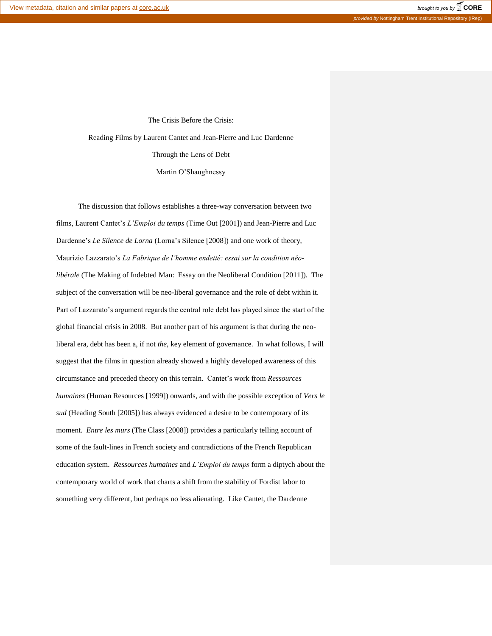The Crisis Before the Crisis: Reading Films by Laurent Cantet and Jean-Pierre and Luc Dardenne Through the Lens of Debt Martin O'Shaughnessy

The discussion that follows establishes a three-way conversation between two films, Laurent Cantet's *L'Emploi du temps* (Time Out [2001]) and Jean-Pierre and Luc Dardenne's *Le Silence de Lorna* (Lorna's Silence [2008]) and one work of theory, Maurizio Lazzarato's *La Fabrique de l'homme endetté: essai sur la condition néolibérale* (The Making of Indebted Man: Essay on the Neoliberal Condition [2011]). The subject of the conversation will be neo-liberal governance and the role of debt within it. Part of Lazzarato's argument regards the central role debt has played since the start of the global financial crisis in 2008. But another part of his argument is that during the neoliberal era, debt has been a, if not *the*, key element of governance. In what follows, I will suggest that the films in question already showed a highly developed awareness of this circumstance and preceded theory on this terrain. Cantet's work from *Ressources humaines* (Human Resources [1999]) onwards, and with the possible exception of *Vers le sud* (Heading South [2005]) has always evidenced a desire to be contemporary of its moment. *Entre les murs* (The Class [2008]) provides a particularly telling account of some of the fault-lines in French society and contradictions of the French Republican education system. *Ressources humaines* and *L'Emploi du temps* form a diptych about the contemporary world of work that charts a shift from the stability of Fordist labor to something very different, but perhaps no less alienating. Like Cantet, the Dardenne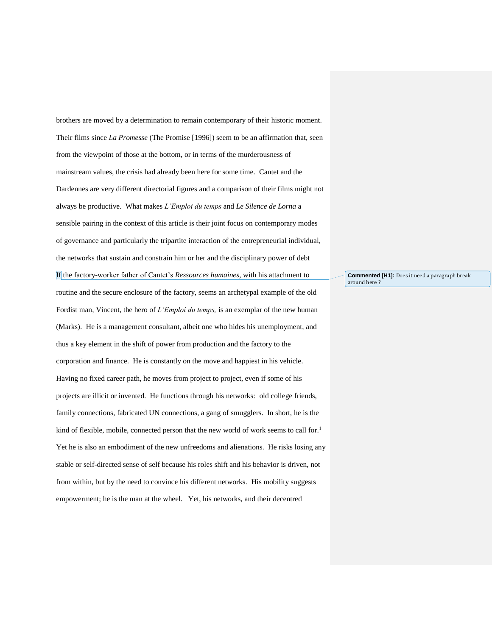brothers are moved by a determination to remain contemporary of their historic moment. Their films since *La Promesse* (The Promise [1996]) seem to be an affirmation that, seen from the viewpoint of those at the bottom, or in terms of the murderousness of mainstream values, the crisis had already been here for some time. Cantet and the Dardennes are very different directorial figures and a comparison of their films might not always be productive. What makes *L'Emploi du temps* and *Le Silence de Lorna* a sensible pairing in the context of this article is their joint focus on contemporary modes of governance and particularly the tripartite interaction of the entrepreneurial individual, the networks that sustain and constrain him or her and the disciplinary power of debt If the factory-worker father of Cantet's *Ressources humaines*, with his attachment to routine and the secure enclosure of the factory, seems an archetypal example of the old Fordist man, Vincent, the hero of *L'Emploi du temps,* is an exemplar of the new human (Marks). He is a management consultant, albeit one who hides his unemployment, and thus a key element in the shift of power from production and the factory to the corporation and finance. He is constantly on the move and happiest in his vehicle. Having no fixed career path, he moves from project to project, even if some of his projects are illicit or invented. He functions through his networks: old college friends, family connections, fabricated UN connections, a gang of smugglers. In short, he is the kind of flexible, mobile, connected person that the new world of work seems to call for.<sup>1</sup> Yet he is also an embodiment of the new unfreedoms and alienations. He risks losing any stable or self-directed sense of self because his roles shift and his behavior is driven, not from within, but by the need to convince his different networks. His mobility suggests empowerment; he is the man at the wheel. Yet, his networks, and their decentred

**Commented [H1]:** Does it need a paragraph break around here ?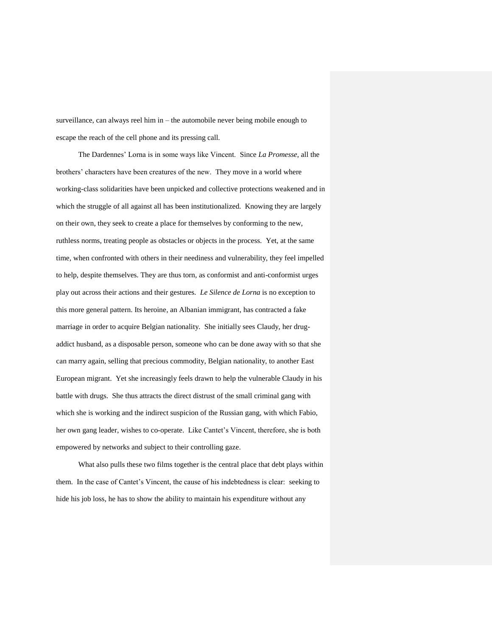surveillance, can always reel him in – the automobile never being mobile enough to escape the reach of the cell phone and its pressing call.

The Dardennes' Lorna is in some ways like Vincent. Since *La Promesse*, all the brothers' characters have been creatures of the new. They move in a world where working-class solidarities have been unpicked and collective protections weakened and in which the struggle of all against all has been institutionalized. Knowing they are largely on their own, they seek to create a place for themselves by conforming to the new, ruthless norms, treating people as obstacles or objects in the process. Yet, at the same time, when confronted with others in their neediness and vulnerability, they feel impelled to help, despite themselves. They are thus torn, as conformist and anti-conformist urges play out across their actions and their gestures. *Le Silence de Lorna* is no exception to this more general pattern. Its heroine, an Albanian immigrant, has contracted a fake marriage in order to acquire Belgian nationality. She initially sees Claudy, her drugaddict husband, as a disposable person, someone who can be done away with so that she can marry again, selling that precious commodity, Belgian nationality, to another East European migrant. Yet she increasingly feels drawn to help the vulnerable Claudy in his battle with drugs. She thus attracts the direct distrust of the small criminal gang with which she is working and the indirect suspicion of the Russian gang, with which Fabio, her own gang leader, wishes to co-operate. Like Cantet's Vincent, therefore, she is both empowered by networks and subject to their controlling gaze.

What also pulls these two films together is the central place that debt plays within them. In the case of Cantet's Vincent, the cause of his indebtedness is clear: seeking to hide his job loss, he has to show the ability to maintain his expenditure without any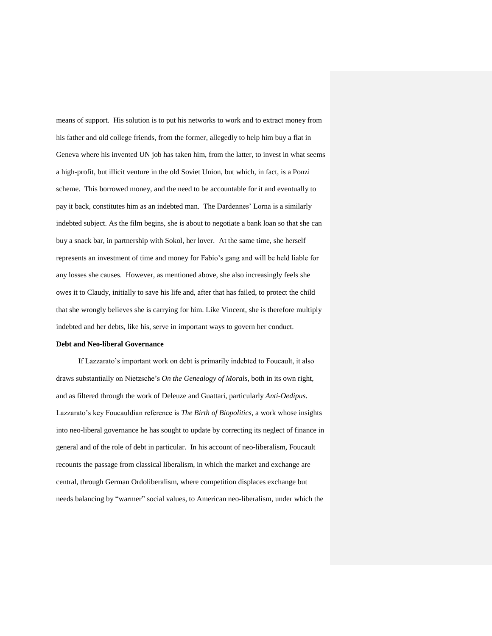means of support. His solution is to put his networks to work and to extract money from his father and old college friends, from the former, allegedly to help him buy a flat in Geneva where his invented UN job has taken him, from the latter, to invest in what seems a high-profit, but illicit venture in the old Soviet Union, but which, in fact, is a Ponzi scheme. This borrowed money, and the need to be accountable for it and eventually to pay it back, constitutes him as an indebted man. The Dardennes' Lorna is a similarly indebted subject. As the film begins, she is about to negotiate a bank loan so that she can buy a snack bar, in partnership with Sokol, her lover. At the same time, she herself represents an investment of time and money for Fabio's gang and will be held liable for any losses she causes. However, as mentioned above, she also increasingly feels she owes it to Claudy, initially to save his life and, after that has failed, to protect the child that she wrongly believes she is carrying for him. Like Vincent, she is therefore multiply indebted and her debts, like his, serve in important ways to govern her conduct.

## **Debt and Neo-liberal Governance**

If Lazzarato's important work on debt is primarily indebted to Foucault, it also draws substantially on Nietzsche's *On the Genealogy of Morals*, both in its own right, and as filtered through the work of Deleuze and Guattari, particularly *Anti-Oedipus*. Lazzarato's key Foucauldian reference is *The Birth of Biopolitics*, a work whose insights into neo-liberal governance he has sought to update by correcting its neglect of finance in general and of the role of debt in particular. In his account of neo-liberalism, Foucault recounts the passage from classical liberalism, in which the market and exchange are central, through German Ordoliberalism, where competition displaces exchange but needs balancing by "warmer" social values, to American neo-liberalism, under which the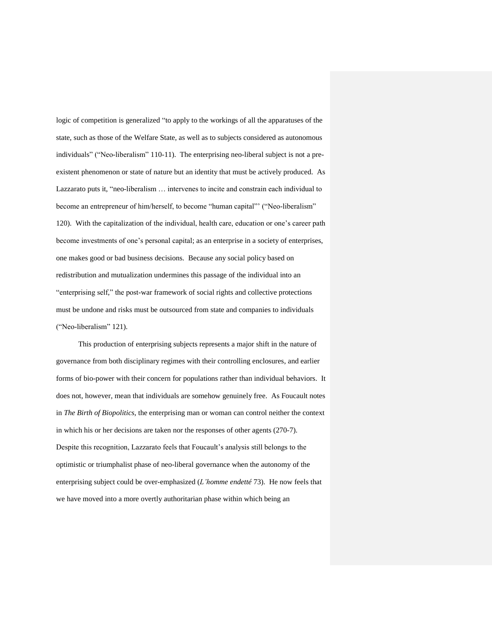logic of competition is generalized "to apply to the workings of all the apparatuses of the state, such as those of the Welfare State, as well as to subjects considered as autonomous individuals" ("Neo-liberalism" 110-11). The enterprising neo-liberal subject is not a preexistent phenomenon or state of nature but an identity that must be actively produced. As Lazzarato puts it, "neo-liberalism … intervenes to incite and constrain each individual to become an entrepreneur of him/herself, to become "human capital"' ("Neo-liberalism" 120). With the capitalization of the individual, health care, education or one's career path become investments of one's personal capital; as an enterprise in a society of enterprises, one makes good or bad business decisions. Because any social policy based on redistribution and mutualization undermines this passage of the individual into an "enterprising self," the post-war framework of social rights and collective protections must be undone and risks must be outsourced from state and companies to individuals ("Neo-liberalism" 121).

This production of enterprising subjects represents a major shift in the nature of governance from both disciplinary regimes with their controlling enclosures, and earlier forms of bio-power with their concern for populations rather than individual behaviors. It does not, however, mean that individuals are somehow genuinely free. As Foucault notes in *The Birth of Biopolitics*, the enterprising man or woman can control neither the context in which his or her decisions are taken nor the responses of other agents (270-7). Despite this recognition, Lazzarato feels that Foucault's analysis still belongs to the optimistic or triumphalist phase of neo-liberal governance when the autonomy of the enterprising subject could be over-emphasized (*L'homme endetté* 73). He now feels that we have moved into a more overtly authoritarian phase within which being an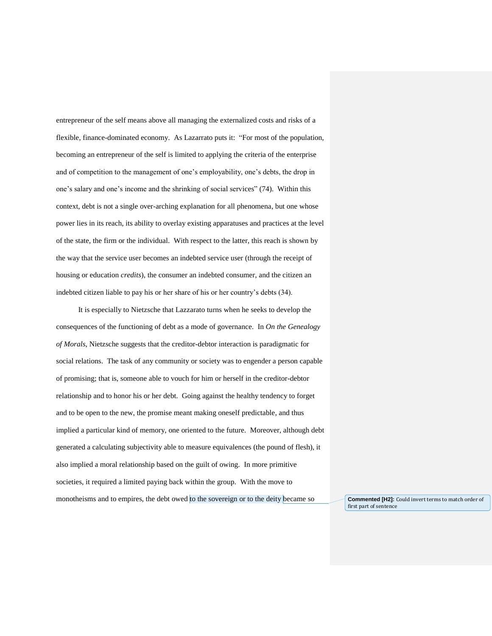entrepreneur of the self means above all managing the externalized costs and risks of a flexible, finance-dominated economy. As Lazarrato puts it: "For most of the population, becoming an entrepreneur of the self is limited to applying the criteria of the enterprise and of competition to the management of one's employability, one's debts, the drop in one's salary and one's income and the shrinking of social services" (74). Within this context, debt is not a single over-arching explanation for all phenomena, but one whose power lies in its reach, its ability to overlay existing apparatuses and practices at the level of the state, the firm or the individual. With respect to the latter, this reach is shown by the way that the service user becomes an indebted service user (through the receipt of housing or education *credits*), the consumer an indebted consumer, and the citizen an indebted citizen liable to pay his or her share of his or her country's debts (34).

It is especially to Nietzsche that Lazzarato turns when he seeks to develop the consequences of the functioning of debt as a mode of governance. In *On the Genealogy of Morals*, Nietzsche suggests that the creditor-debtor interaction is paradigmatic for social relations. The task of any community or society was to engender a person capable of promising; that is, someone able to vouch for him or herself in the creditor-debtor relationship and to honor his or her debt. Going against the healthy tendency to forget and to be open to the new, the promise meant making oneself predictable, and thus implied a particular kind of memory, one oriented to the future. Moreover, although debt generated a calculating subjectivity able to measure equivalences (the pound of flesh), it also implied a moral relationship based on the guilt of owing. In more primitive societies, it required a limited paying back within the group. With the move to monotheisms and to empires, the debt owed to the sovereign or to the deity became so **Commented [H2]:** Could invert terms to match order of

first part of sentence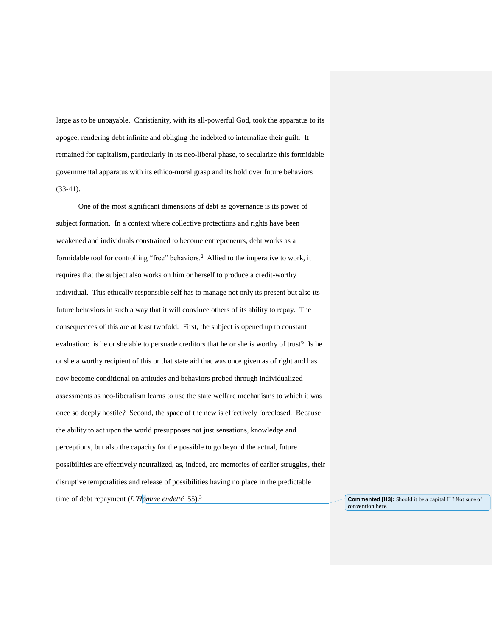large as to be unpayable. Christianity, with its all-powerful God, took the apparatus to its apogee, rendering debt infinite and obliging the indebted to internalize their guilt. It remained for capitalism, particularly in its neo-liberal phase, to secularize this formidable governmental apparatus with its ethico-moral grasp and its hold over future behaviors (33-41).

One of the most significant dimensions of debt as governance is its power of subject formation. In a context where collective protections and rights have been weakened and individuals constrained to become entrepreneurs, debt works as a formidable tool for controlling "free" behaviors.<sup>2</sup> Allied to the imperative to work, it requires that the subject also works on him or herself to produce a credit-worthy individual. This ethically responsible self has to manage not only its present but also its future behaviors in such a way that it will convince others of its ability to repay. The consequences of this are at least twofold. First, the subject is opened up to constant evaluation: is he or she able to persuade creditors that he or she is worthy of trust? Is he or she a worthy recipient of this or that state aid that was once given as of right and has now become conditional on attitudes and behaviors probed through individualized assessments as neo-liberalism learns to use the state welfare mechanisms to which it was once so deeply hostile? Second, the space of the new is effectively foreclosed. Because the ability to act upon the world presupposes not just sensations, knowledge and perceptions, but also the capacity for the possible to go beyond the actual, future possibilities are effectively neutralized, as, indeed, are memories of earlier struggles, their disruptive temporalities and release of possibilities having no place in the predictable time of debt repayment (*L'Homme endetté* 55).<sup>3</sup> **Commented [H3]:** Should it be a capital H ? Not sure of

convention here.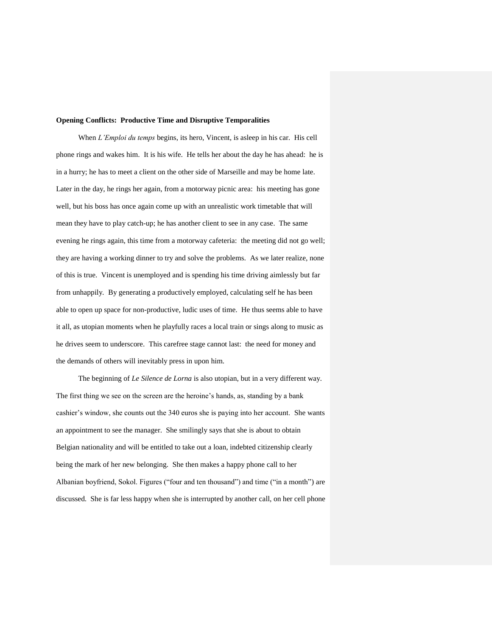## **Opening Conflicts: Productive Time and Disruptive Temporalities**

When *L'Emploi du temps* begins, its hero, Vincent, is asleep in his car. His cell phone rings and wakes him. It is his wife. He tells her about the day he has ahead: he is in a hurry; he has to meet a client on the other side of Marseille and may be home late. Later in the day, he rings her again, from a motorway picnic area: his meeting has gone well, but his boss has once again come up with an unrealistic work timetable that will mean they have to play catch-up; he has another client to see in any case. The same evening he rings again, this time from a motorway cafeteria: the meeting did not go well; they are having a working dinner to try and solve the problems. As we later realize, none of this is true. Vincent is unemployed and is spending his time driving aimlessly but far from unhappily. By generating a productively employed, calculating self he has been able to open up space for non-productive, ludic uses of time. He thus seems able to have it all, as utopian moments when he playfully races a local train or sings along to music as he drives seem to underscore. This carefree stage cannot last: the need for money and the demands of others will inevitably press in upon him.

The beginning of *Le Silence de Lorna* is also utopian, but in a very different way. The first thing we see on the screen are the heroine's hands, as, standing by a bank cashier's window, she counts out the 340 euros she is paying into her account. She wants an appointment to see the manager. She smilingly says that she is about to obtain Belgian nationality and will be entitled to take out a loan, indebted citizenship clearly being the mark of her new belonging. She then makes a happy phone call to her Albanian boyfriend, Sokol. Figures ("four and ten thousand") and time ("in a month") are discussed. She is far less happy when she is interrupted by another call, on her cell phone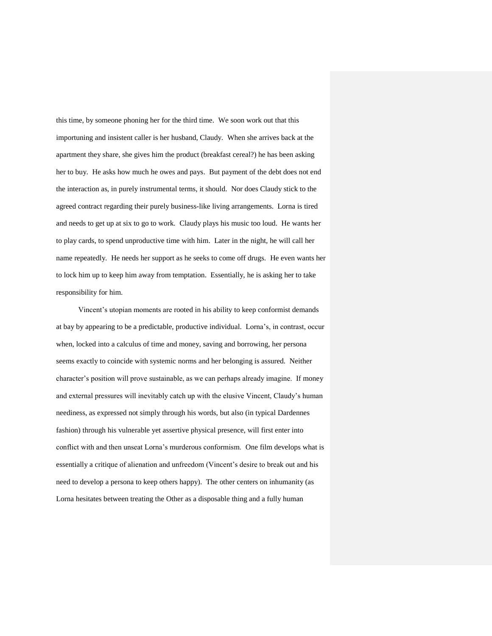this time, by someone phoning her for the third time. We soon work out that this importuning and insistent caller is her husband, Claudy. When she arrives back at the apartment they share, she gives him the product (breakfast cereal?) he has been asking her to buy. He asks how much he owes and pays. But payment of the debt does not end the interaction as, in purely instrumental terms, it should. Nor does Claudy stick to the agreed contract regarding their purely business-like living arrangements. Lorna is tired and needs to get up at six to go to work. Claudy plays his music too loud. He wants her to play cards, to spend unproductive time with him. Later in the night, he will call her name repeatedly. He needs her support as he seeks to come off drugs. He even wants her to lock him up to keep him away from temptation. Essentially, he is asking her to take responsibility for him.

Vincent's utopian moments are rooted in his ability to keep conformist demands at bay by appearing to be a predictable, productive individual. Lorna's, in contrast, occur when, locked into a calculus of time and money, saving and borrowing, her persona seems exactly to coincide with systemic norms and her belonging is assured. Neither character's position will prove sustainable, as we can perhaps already imagine. If money and external pressures will inevitably catch up with the elusive Vincent, Claudy's human neediness, as expressed not simply through his words, but also (in typical Dardennes fashion) through his vulnerable yet assertive physical presence, will first enter into conflict with and then unseat Lorna's murderous conformism. One film develops what is essentially a critique of alienation and unfreedom (Vincent's desire to break out and his need to develop a persona to keep others happy). The other centers on inhumanity (as Lorna hesitates between treating the Other as a disposable thing and a fully human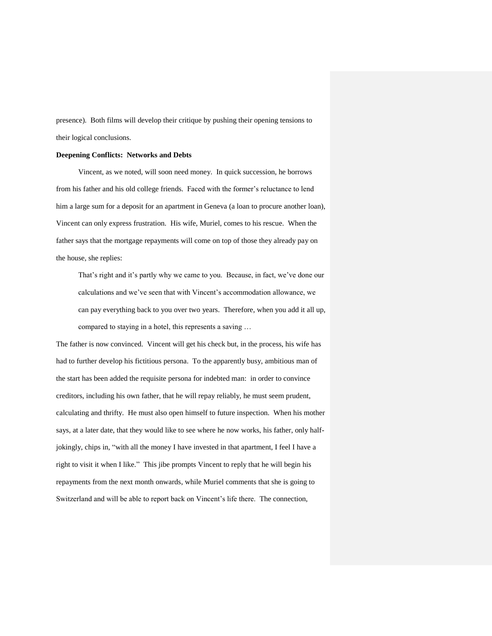presence). Both films will develop their critique by pushing their opening tensions to their logical conclusions.

## **Deepening Conflicts: Networks and Debts**

Vincent, as we noted, will soon need money. In quick succession, he borrows from his father and his old college friends. Faced with the former's reluctance to lend him a large sum for a deposit for an apartment in Geneva (a loan to procure another loan), Vincent can only express frustration. His wife, Muriel, comes to his rescue. When the father says that the mortgage repayments will come on top of those they already pay on the house, she replies:

That's right and it's partly why we came to you. Because, in fact, we've done our calculations and we've seen that with Vincent's accommodation allowance, we can pay everything back to you over two years. Therefore, when you add it all up, compared to staying in a hotel, this represents a saving …

The father is now convinced. Vincent will get his check but, in the process, his wife has had to further develop his fictitious persona. To the apparently busy, ambitious man of the start has been added the requisite persona for indebted man: in order to convince creditors, including his own father, that he will repay reliably, he must seem prudent, calculating and thrifty. He must also open himself to future inspection. When his mother says, at a later date, that they would like to see where he now works, his father, only halfjokingly, chips in, "with all the money I have invested in that apartment, I feel I have a right to visit it when I like." This jibe prompts Vincent to reply that he will begin his repayments from the next month onwards, while Muriel comments that she is going to Switzerland and will be able to report back on Vincent's life there. The connection,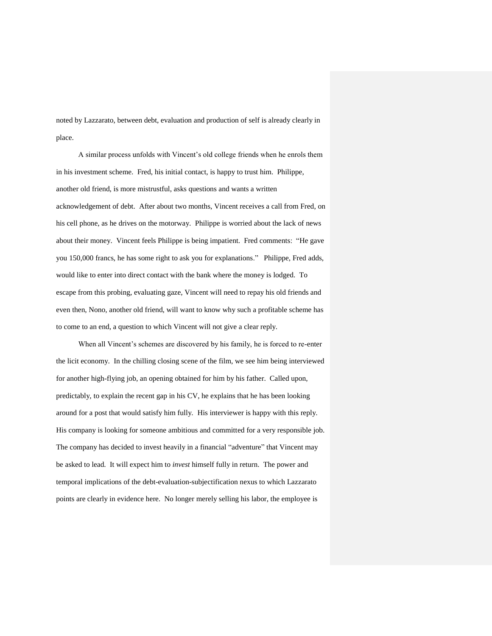noted by Lazzarato, between debt, evaluation and production of self is already clearly in place.

A similar process unfolds with Vincent's old college friends when he enrols them in his investment scheme. Fred, his initial contact, is happy to trust him. Philippe, another old friend, is more mistrustful, asks questions and wants a written acknowledgement of debt. After about two months, Vincent receives a call from Fred, on his cell phone, as he drives on the motorway. Philippe is worried about the lack of news about their money. Vincent feels Philippe is being impatient. Fred comments: "He gave you 150,000 francs, he has some right to ask you for explanations." Philippe, Fred adds, would like to enter into direct contact with the bank where the money is lodged. To escape from this probing, evaluating gaze, Vincent will need to repay his old friends and even then, Nono, another old friend, will want to know why such a profitable scheme has to come to an end, a question to which Vincent will not give a clear reply.

When all Vincent's schemes are discovered by his family, he is forced to re-enter the licit economy. In the chilling closing scene of the film, we see him being interviewed for another high-flying job, an opening obtained for him by his father. Called upon, predictably, to explain the recent gap in his CV, he explains that he has been looking around for a post that would satisfy him fully. His interviewer is happy with this reply. His company is looking for someone ambitious and committed for a very responsible job. The company has decided to invest heavily in a financial "adventure" that Vincent may be asked to lead. It will expect him to *invest* himself fully in return. The power and temporal implications of the debt-evaluation-subjectification nexus to which Lazzarato points are clearly in evidence here. No longer merely selling his labor, the employee is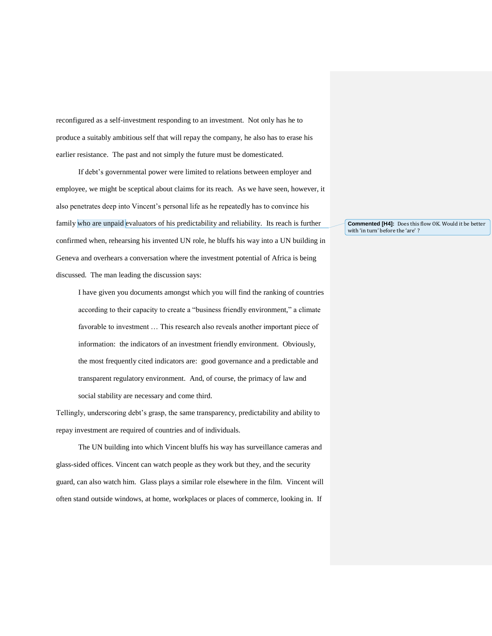reconfigured as a self-investment responding to an investment. Not only has he to produce a suitably ambitious self that will repay the company, he also has to erase his earlier resistance. The past and not simply the future must be domesticated.

If debt's governmental power were limited to relations between employer and employee, we might be sceptical about claims for its reach. As we have seen, however, it also penetrates deep into Vincent's personal life as he repeatedly has to convince his family who are unpaid evaluators of his predictability and reliability. Its reach is further confirmed when, rehearsing his invented UN role, he bluffs his way into a UN building in Geneva and overhears a conversation where the investment potential of Africa is being discussed. The man leading the discussion says:

I have given you documents amongst which you will find the ranking of countries according to their capacity to create a "business friendly environment," a climate favorable to investment … This research also reveals another important piece of information: the indicators of an investment friendly environment. Obviously, the most frequently cited indicators are: good governance and a predictable and transparent regulatory environment. And, of course, the primacy of law and social stability are necessary and come third.

Tellingly, underscoring debt's grasp, the same transparency, predictability and ability to repay investment are required of countries and of individuals.

The UN building into which Vincent bluffs his way has surveillance cameras and glass-sided offices. Vincent can watch people as they work but they, and the security guard, can also watch him. Glass plays a similar role elsewhere in the film. Vincent will often stand outside windows, at home, workplaces or places of commerce, looking in. If

**Commented [H4]:** Does this flow OK. Would it be better with 'in turn' before the 'are' ?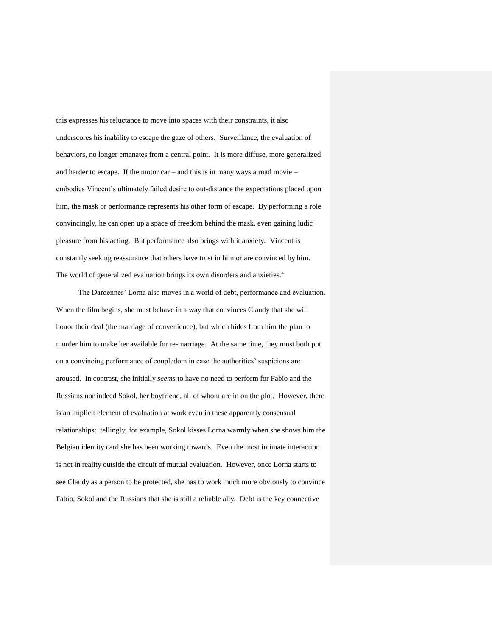this expresses his reluctance to move into spaces with their constraints, it also underscores his inability to escape the gaze of others. Surveillance, the evaluation of behaviors, no longer emanates from a central point. It is more diffuse, more generalized and harder to escape. If the motor car – and this is in many ways a road movie – embodies Vincent's ultimately failed desire to out-distance the expectations placed upon him, the mask or performance represents his other form of escape. By performing a role convincingly, he can open up a space of freedom behind the mask, even gaining ludic pleasure from his acting. But performance also brings with it anxiety. Vincent is constantly seeking reassurance that others have trust in him or are convinced by him. The world of generalized evaluation brings its own disorders and anxieties.<sup>4</sup>

The Dardennes' Lorna also moves in a world of debt, performance and evaluation. When the film begins, she must behave in a way that convinces Claudy that she will honor their deal (the marriage of convenience), but which hides from him the plan to murder him to make her available for re-marriage. At the same time, they must both put on a convincing performance of coupledom in case the authorities' suspicions are aroused. In contrast, she initially *seems* to have no need to perform for Fabio and the Russians nor indeed Sokol, her boyfriend, all of whom are in on the plot. However, there is an implicit element of evaluation at work even in these apparently consensual relationships: tellingly, for example, Sokol kisses Lorna warmly when she shows him the Belgian identity card she has been working towards. Even the most intimate interaction is not in reality outside the circuit of mutual evaluation. However, once Lorna starts to see Claudy as a person to be protected, she has to work much more obviously to convince Fabio, Sokol and the Russians that she is still a reliable ally. Debt is the key connective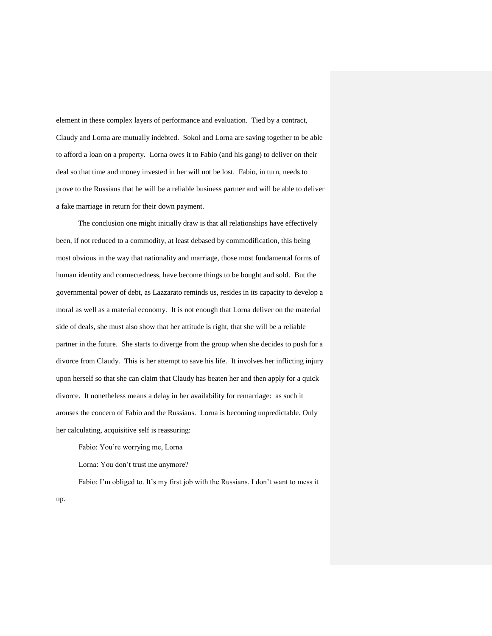element in these complex layers of performance and evaluation. Tied by a contract, Claudy and Lorna are mutually indebted. Sokol and Lorna are saving together to be able to afford a loan on a property. Lorna owes it to Fabio (and his gang) to deliver on their deal so that time and money invested in her will not be lost. Fabio, in turn, needs to prove to the Russians that he will be a reliable business partner and will be able to deliver a fake marriage in return for their down payment.

The conclusion one might initially draw is that all relationships have effectively been, if not reduced to a commodity, at least debased by commodification, this being most obvious in the way that nationality and marriage, those most fundamental forms of human identity and connectedness, have become things to be bought and sold. But the governmental power of debt, as Lazzarato reminds us, resides in its capacity to develop a moral as well as a material economy. It is not enough that Lorna deliver on the material side of deals, she must also show that her attitude is right, that she will be a reliable partner in the future. She starts to diverge from the group when she decides to push for a divorce from Claudy. This is her attempt to save his life. It involves her inflicting injury upon herself so that she can claim that Claudy has beaten her and then apply for a quick divorce. It nonetheless means a delay in her availability for remarriage: as such it arouses the concern of Fabio and the Russians. Lorna is becoming unpredictable. Only her calculating, acquisitive self is reassuring:

Fabio: You're worrying me, Lorna Lorna: You don't trust me anymore?

Fabio: I'm obliged to. It's my first job with the Russians. I don't want to mess it

up.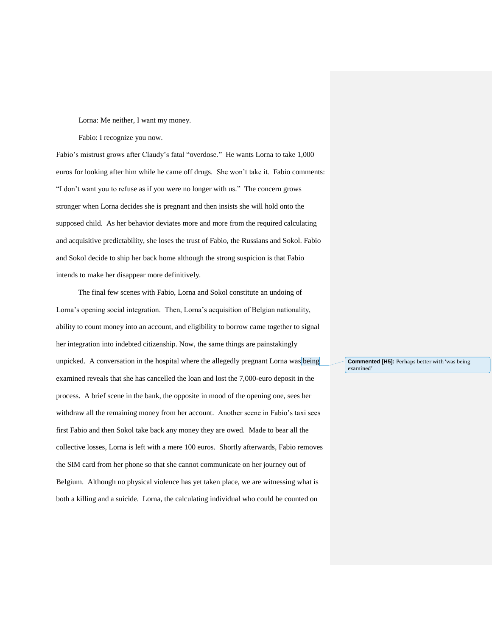Lorna: Me neither, I want my money.

Fabio: I recognize you now.

Fabio's mistrust grows after Claudy's fatal "overdose." He wants Lorna to take 1,000 euros for looking after him while he came off drugs. She won't take it. Fabio comments: "I don't want you to refuse as if you were no longer with us." The concern grows stronger when Lorna decides she is pregnant and then insists she will hold onto the supposed child. As her behavior deviates more and more from the required calculating and acquisitive predictability, she loses the trust of Fabio, the Russians and Sokol. Fabio and Sokol decide to ship her back home although the strong suspicion is that Fabio intends to make her disappear more definitively.

The final few scenes with Fabio, Lorna and Sokol constitute an undoing of Lorna's opening social integration. Then, Lorna's acquisition of Belgian nationality, ability to count money into an account, and eligibility to borrow came together to signal her integration into indebted citizenship. Now, the same things are painstakingly unpicked. A conversation in the hospital where the allegedly pregnant Lorna was being examined reveals that she has cancelled the loan and lost the 7,000-euro deposit in the process. A brief scene in the bank, the opposite in mood of the opening one, sees her withdraw all the remaining money from her account. Another scene in Fabio's taxi sees first Fabio and then Sokol take back any money they are owed. Made to bear all the collective losses, Lorna is left with a mere 100 euros. Shortly afterwards, Fabio removes the SIM card from her phone so that she cannot communicate on her journey out of Belgium. Although no physical violence has yet taken place, we are witnessing what is both a killing and a suicide. Lorna, the calculating individual who could be counted on

**Commented [H5]:** Perhaps better with 'was being examined'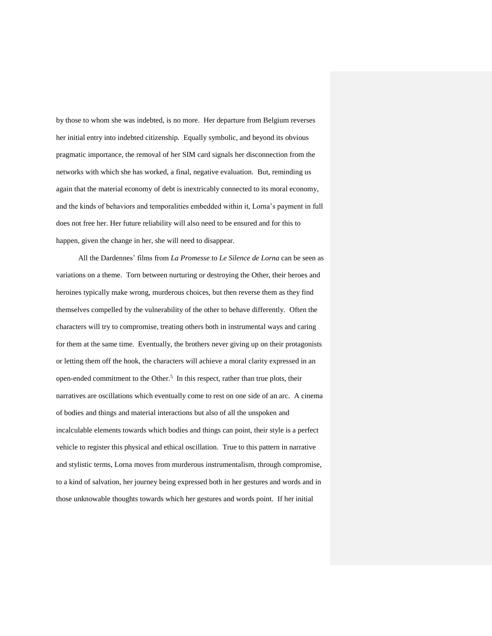by those to whom she was indebted, is no more. Her departure from Belgium reverses her initial entry into indebted citizenship. Equally symbolic, and beyond its obvious pragmatic importance, the removal of her SIM card signals her disconnection from the networks with which she has worked, a final, negative evaluation. But, reminding us again that the material economy of debt is inextricably connected to its moral economy, and the kinds of behaviors and temporalities embedded within it, Lorna's payment in full does not free her. Her future reliability will also need to be ensured and for this to happen, given the change in her, she will need to disappear.

All the Dardennes' films from *La Promesse* to *Le Silence de Lorna* can be seen as variations on a theme. Torn between nurturing or destroying the Other, their heroes and heroines typically make wrong, murderous choices, but then reverse them as they find themselves compelled by the vulnerability of the other to behave differently. Often the characters will try to compromise, treating others both in instrumental ways and caring for them at the same time. Eventually, the brothers never giving up on their protagonists or letting them off the hook, the characters will achieve a moral clarity expressed in an open-ended commitment to the Other.<sup>5</sup> In this respect, rather than true plots, their narratives are oscillations which eventually come to rest on one side of an arc. A cinema of bodies and things and material interactions but also of all the unspoken and incalculable elements towards which bodies and things can point, their style is a perfect vehicle to register this physical and ethical oscillation. True to this pattern in narrative and stylistic terms, Lorna moves from murderous instrumentalism, through compromise, to a kind of salvation, her journey being expressed both in her gestures and words and in those unknowable thoughts towards which her gestures and words point. If her initial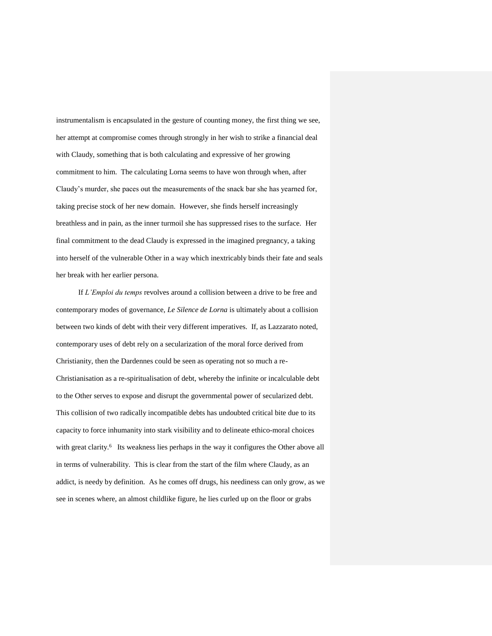instrumentalism is encapsulated in the gesture of counting money, the first thing we see, her attempt at compromise comes through strongly in her wish to strike a financial deal with Claudy, something that is both calculating and expressive of her growing commitment to him. The calculating Lorna seems to have won through when, after Claudy's murder, she paces out the measurements of the snack bar she has yearned for, taking precise stock of her new domain. However, she finds herself increasingly breathless and in pain, as the inner turmoil she has suppressed rises to the surface. Her final commitment to the dead Claudy is expressed in the imagined pregnancy, a taking into herself of the vulnerable Other in a way which inextricably binds their fate and seals her break with her earlier persona.

If *L'Emploi du temps* revolves around a collision between a drive to be free and contemporary modes of governance, *Le Silence de Lorna* is ultimately about a collision between two kinds of debt with their very different imperatives. If, as Lazzarato noted, contemporary uses of debt rely on a secularization of the moral force derived from Christianity, then the Dardennes could be seen as operating not so much a re-Christianisation as a re-spiritualisation of debt, whereby the infinite or incalculable debt to the Other serves to expose and disrupt the governmental power of secularized debt. This collision of two radically incompatible debts has undoubted critical bite due to its capacity to force inhumanity into stark visibility and to delineate ethico-moral choices with great clarity.<sup>6</sup> Its weakness lies perhaps in the way it configures the Other above all in terms of vulnerability. This is clear from the start of the film where Claudy, as an addict, is needy by definition. As he comes off drugs, his neediness can only grow, as we see in scenes where, an almost childlike figure, he lies curled up on the floor or grabs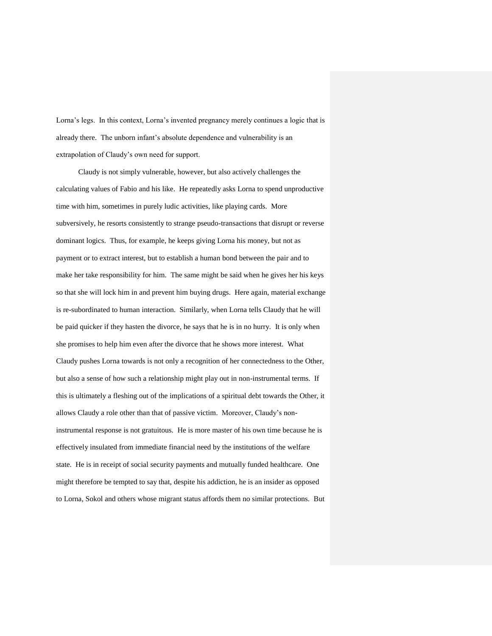Lorna's legs. In this context, Lorna's invented pregnancy merely continues a logic that is already there. The unborn infant's absolute dependence and vulnerability is an extrapolation of Claudy's own need for support.

Claudy is not simply vulnerable, however, but also actively challenges the calculating values of Fabio and his like. He repeatedly asks Lorna to spend unproductive time with him, sometimes in purely ludic activities, like playing cards. More subversively, he resorts consistently to strange pseudo-transactions that disrupt or reverse dominant logics. Thus, for example, he keeps giving Lorna his money, but not as payment or to extract interest, but to establish a human bond between the pair and to make her take responsibility for him. The same might be said when he gives her his keys so that she will lock him in and prevent him buying drugs. Here again, material exchange is re-subordinated to human interaction. Similarly, when Lorna tells Claudy that he will be paid quicker if they hasten the divorce, he says that he is in no hurry. It is only when she promises to help him even after the divorce that he shows more interest. What Claudy pushes Lorna towards is not only a recognition of her connectedness to the Other, but also a sense of how such a relationship might play out in non-instrumental terms. If this is ultimately a fleshing out of the implications of a spiritual debt towards the Other, it allows Claudy a role other than that of passive victim. Moreover, Claudy's noninstrumental response is not gratuitous. He is more master of his own time because he is effectively insulated from immediate financial need by the institutions of the welfare state. He is in receipt of social security payments and mutually funded healthcare. One might therefore be tempted to say that, despite his addiction, he is an insider as opposed to Lorna, Sokol and others whose migrant status affords them no similar protections. But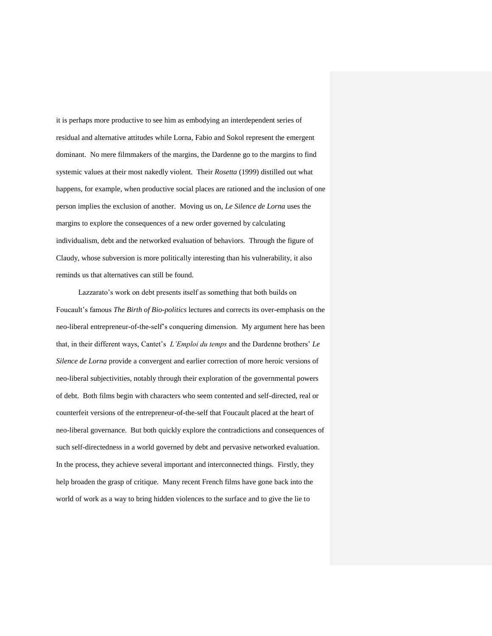it is perhaps more productive to see him as embodying an interdependent series of residual and alternative attitudes while Lorna, Fabio and Sokol represent the emergent dominant. No mere filmmakers of the margins, the Dardenne go to the margins to find systemic values at their most nakedly violent. Their *Rosetta* (1999) distilled out what happens, for example, when productive social places are rationed and the inclusion of one person implies the exclusion of another. Moving us on, *Le Silence de Lorna* uses the margins to explore the consequences of a new order governed by calculating individualism, debt and the networked evaluation of behaviors. Through the figure of Claudy, whose subversion is more politically interesting than his vulnerability, it also reminds us that alternatives can still be found.

Lazzarato's work on debt presents itself as something that both builds on Foucault's famous *The Birth of Bio-politics* lectures and corrects its over-emphasis on the neo-liberal entrepreneur-of-the-self's conquering dimension. My argument here has been that, in their different ways, Cantet's *L'Emploi du temps* and the Dardenne brothers' *Le Silence de Lorna* provide a convergent and earlier correction of more heroic versions of neo-liberal subjectivities, notably through their exploration of the governmental powers of debt. Both films begin with characters who seem contented and self-directed, real or counterfeit versions of the entrepreneur-of-the-self that Foucault placed at the heart of neo-liberal governance. But both quickly explore the contradictions and consequences of such self-directedness in a world governed by debt and pervasive networked evaluation. In the process, they achieve several important and interconnected things. Firstly, they help broaden the grasp of critique. Many recent French films have gone back into the world of work as a way to bring hidden violences to the surface and to give the lie to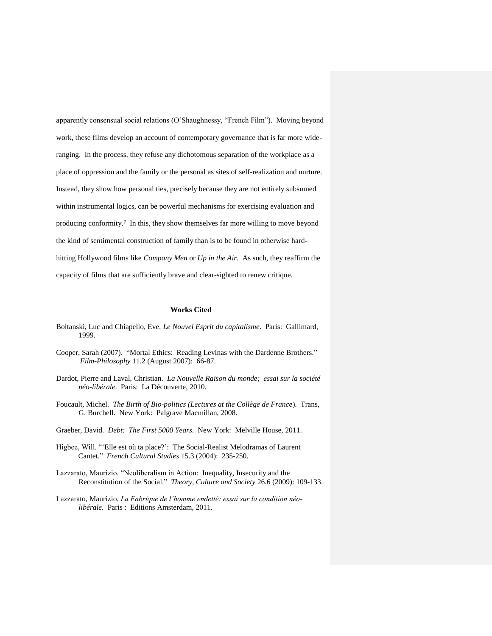apparently consensual social relations (O'Shaughnessy, "French Film"). Moving beyond work, these films develop an account of contemporary governance that is far more wideranging. In the process, they refuse any dichotomous separation of the workplace as a place of oppression and the family or the personal as sites of self-realization and nurture. Instead, they show how personal ties, precisely because they are not entirely subsumed within instrumental logics, can be powerful mechanisms for exercising evaluation and producing conformity. 7 In this, they show themselves far more willing to move beyond the kind of sentimental construction of family than is to be found in otherwise hardhitting Hollywood films like *Company Men* or *Up in the Air.* As such, they reaffirm the capacity of films that are sufficiently brave and clear-sighted to renew critique.

## **Works Cited**

- Boltanski, Luc and Chiapello, Eve. *Le Nouvel Esprit du capitalisme*. Paris: Gallimard, 1999.
- Cooper, Sarah (2007). "Mortal Ethics: Reading Levinas with the Dardenne Brothers." *Film-Philosophy* 11.2 (August 2007): 66-87.
- Dardot, Pierre and Laval, Christian. *La Nouvelle Raison du monde; essai sur la société néo-libérale*. Paris: La Découverte, 2010.
- Foucault, Michel. *The Birth of Bio-politics (Lectures at the Collège de France*). Trans, G. Burchell. New York: Palgrave Macmillan, 2008.
- Graeber, David. *Debt: The First 5000 Years*. New York: Melville House, 2011.
- Higbee, Will. "'Elle est où ta place?': The Social-Realist Melodramas of Laurent Cantet." *French Cultural Studies* 15.3 (2004): 235-250.
- Lazzarato, Maurizio. "Neoliberalism in Action: Inequality, Insecurity and the Reconstitution of the Social." *Theory, Culture and Society* 26.6 (2009): 109-133.
- Lazzarato, Maurizio. *La Fabrique de l'homme endetté: essai sur la condition néolibérale.* Paris : Editions Amsterdam, 2011.